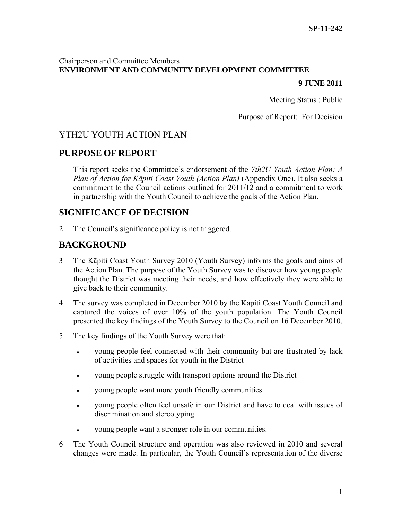# Chairperson and Committee Members **ENVIRONMENT AND COMMUNITY DEVELOPMENT COMMITTEE**

#### **9 JUNE 2011**

Meeting Status : Public

Purpose of Report: For Decision

# YTH2U YOUTH ACTION PLAN

# **PURPOSE OF REPORT**

1 This report seeks the Committee's endorsement of the *Yth2U Youth Action Plan: A Plan of Action for Kāpiti Coast Youth (Action Plan)* (Appendix One). It also seeks a commitment to the Council actions outlined for 2011/12 and a commitment to work in partnership with the Youth Council to achieve the goals of the Action Plan.

# **SIGNIFICANCE OF DECISION**

2 The Council's significance policy is not triggered.

# **BACKGROUND**

- 3 The Kāpiti Coast Youth Survey 2010 (Youth Survey) informs the goals and aims of the Action Plan. The purpose of the Youth Survey was to discover how young people thought the District was meeting their needs, and how effectively they were able to give back to their community.
- 4 The survey was completed in December 2010 by the Kāpiti Coast Youth Council and captured the voices of over 10% of the youth population. The Youth Council presented the key findings of the Youth Survey to the Council on 16 December 2010.
- 5 The key findings of the Youth Survey were that:
	- young people feel connected with their community but are frustrated by lack of activities and spaces for youth in the District
	- young people struggle with transport options around the District
	- young people want more youth friendly communities
	- young people often feel unsafe in our District and have to deal with issues of discrimination and stereotyping
	- young people want a stronger role in our communities.
- 6 The Youth Council structure and operation was also reviewed in 2010 and several changes were made. In particular, the Youth Council's representation of the diverse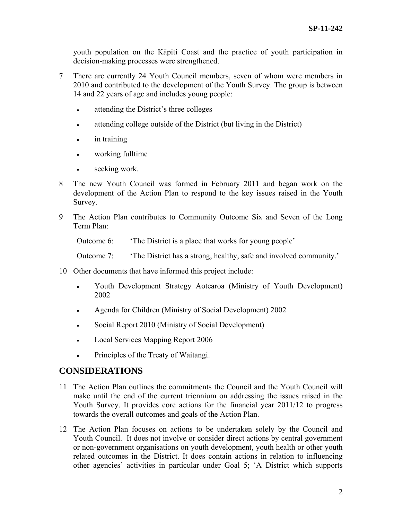youth population on the Kāpiti Coast and the practice of youth participation in decision-making processes were strengthened.

- 7 There are currently 24 Youth Council members, seven of whom were members in 2010 and contributed to the development of the Youth Survey. The group is between 14 and 22 years of age and includes young people:
	- attending the District's three colleges
	- attending college outside of the District (but living in the District)
	- in training
	- working fulltime
	- seeking work.
- 8 The new Youth Council was formed in February 2011 and began work on the development of the Action Plan to respond to the key issues raised in the Youth Survey.
- 9 The Action Plan contributes to Community Outcome Six and Seven of the Long Term Plan:

Outcome 6: 'The District is a place that works for young people'

Outcome 7: 'The District has a strong, healthy, safe and involved community.'

- 10 Other documents that have informed this project include:
	- Youth Development Strategy Aotearoa (Ministry of Youth Development) 2002
	- Agenda for Children (Ministry of Social Development) 2002
	- Social Report 2010 (Ministry of Social Development)
	- Local Services Mapping Report 2006
	- Principles of the Treaty of Waitangi.

## **CONSIDERATIONS**

- 11 The Action Plan outlines the commitments the Council and the Youth Council will make until the end of the current triennium on addressing the issues raised in the Youth Survey. It provides core actions for the financial year 2011/12 to progress towards the overall outcomes and goals of the Action Plan.
- 12 The Action Plan focuses on actions to be undertaken solely by the Council and Youth Council. It does not involve or consider direct actions by central government or non-government organisations on youth development, youth health or other youth related outcomes in the District. It does contain actions in relation to influencing other agencies' activities in particular under Goal 5; 'A District which supports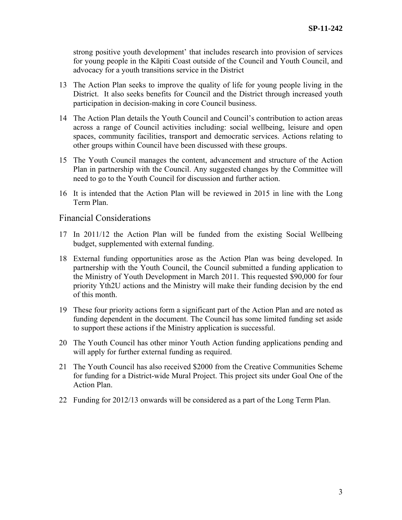strong positive youth development' that includes research into provision of services for young people in the Kāpiti Coast outside of the Council and Youth Council, and advocacy for a youth transitions service in the District

- 13 The Action Plan seeks to improve the quality of life for young people living in the District. It also seeks benefits for Council and the District through increased youth participation in decision-making in core Council business.
- 14 The Action Plan details the Youth Council and Council's contribution to action areas across a range of Council activities including: social wellbeing, leisure and open spaces, community facilities, transport and democratic services. Actions relating to other groups within Council have been discussed with these groups.
- 15 The Youth Council manages the content, advancement and structure of the Action Plan in partnership with the Council. Any suggested changes by the Committee will need to go to the Youth Council for discussion and further action.
- 16 It is intended that the Action Plan will be reviewed in 2015 in line with the Long Term Plan.

# Financial Considerations

- 17 In 2011/12 the Action Plan will be funded from the existing Social Wellbeing budget, supplemented with external funding.
- 18 External funding opportunities arose as the Action Plan was being developed. In partnership with the Youth Council, the Council submitted a funding application to the Ministry of Youth Development in March 2011. This requested \$90,000 for four priority Yth2U actions and the Ministry will make their funding decision by the end of this month.
- 19 These four priority actions form a significant part of the Action Plan and are noted as funding dependent in the document. The Council has some limited funding set aside to support these actions if the Ministry application is successful.
- 20 The Youth Council has other minor Youth Action funding applications pending and will apply for further external funding as required.
- 21 The Youth Council has also received \$2000 from the Creative Communities Scheme for funding for a District-wide Mural Project. This project sits under Goal One of the Action Plan.
- 22 Funding for 2012/13 onwards will be considered as a part of the Long Term Plan.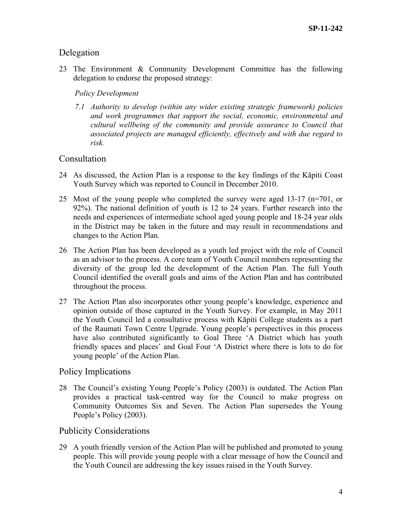# Delegation

23 The Environment & Community Development Committee has the following delegation to endorse the proposed strategy:

# *Policy Development*

*7.1 Authority to develop (within any wider existing strategic framework) policies and work programmes that support the social, economic, environmental and cultural wellbeing of the community and provide assurance to Council that associated projects are managed efficiently, effectively and with due regard to risk.* 

# **Consultation**

- 24 As discussed, the Action Plan is a response to the key findings of the Kāpiti Coast Youth Survey which was reported to Council in December 2010.
- 25 Most of the young people who completed the survey were aged 13-17 (n=701, or 92%). The national definition of youth is 12 to 24 years. Further research into the needs and experiences of intermediate school aged young people and 18-24 year olds in the District may be taken in the future and may result in recommendations and changes to the Action Plan.
- 26 The Action Plan has been developed as a youth led project with the role of Council as an advisor to the process. A core team of Youth Council members representing the diversity of the group led the development of the Action Plan. The full Youth Council identified the overall goals and aims of the Action Plan and has contributed throughout the process.
- 27 The Action Plan also incorporates other young people's knowledge, experience and opinion outside of those captured in the Youth Survey. For example, in May 2011 the Youth Council led a consultative process with Kāpiti College students as a part of the Raumati Town Centre Upgrade. Young people's perspectives in this process have also contributed significantly to Goal Three 'A District which has youth friendly spaces and places' and Goal Four 'A District where there is lots to do for young people' of the Action Plan.

# Policy Implications

28 The Council's existing Young People's Policy (2003) is outdated. The Action Plan provides a practical task-centred way for the Council to make progress on Community Outcomes Six and Seven. The Action Plan supersedes the Young People's Policy (2003).

# Publicity Considerations

29 A youth friendly version of the Action Plan will be published and promoted to young people. This will provide young people with a clear message of how the Council and the Youth Council are addressing the key issues raised in the Youth Survey.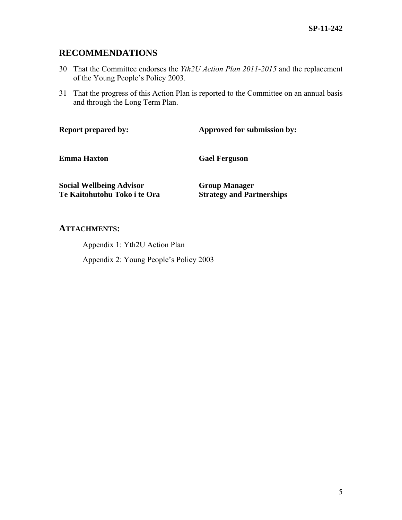# **RECOMMENDATIONS**

- 30 That the Committee endorses the *Yth2U Action Plan 2011-2015* and the replacement of the Young People's Policy 2003.
- 31 That the progress of this Action Plan is reported to the Committee on an annual basis and through the Long Term Plan.

| <b>Report prepared by:</b>      | Approved for submission by:      |
|---------------------------------|----------------------------------|
| <b>Emma Haxton</b>              | <b>Gael Ferguson</b>             |
| <b>Social Wellbeing Advisor</b> | <b>Group Manager</b>             |
| Te Kaitohutohu Toko i te Ora    | <b>Strategy and Partnerships</b> |

## **ATTACHMENTS:**

Appendix 1: Yth2U Action Plan

Appendix 2: Young People's Policy 2003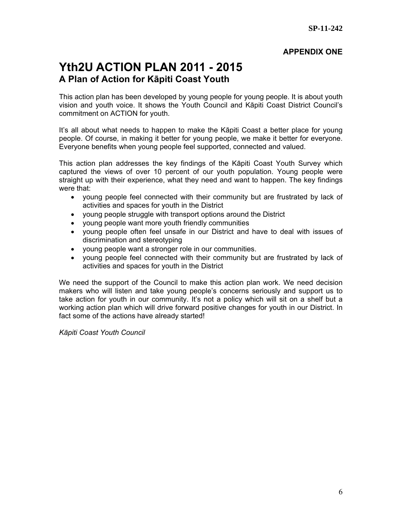## **APPENDIX ONE**

# **Yth2U ACTION PLAN 2011 - 2015 A Plan of Action for Kāpiti Coast Youth**

This action plan has been developed by young people for young people. It is about youth vision and youth voice. It shows the Youth Council and Kāpiti Coast District Council's commitment on ACTION for youth.

It's all about what needs to happen to make the Kāpiti Coast a better place for young people. Of course, in making it better for young people, we make it better for everyone. Everyone benefits when young people feel supported, connected and valued.

This action plan addresses the key findings of the Kāpiti Coast Youth Survey which captured the views of over 10 percent of our youth population. Young people were straight up with their experience, what they need and want to happen. The key findings were that:

- young people feel connected with their community but are frustrated by lack of activities and spaces for youth in the District
- young people struggle with transport options around the District
- young people want more youth friendly communities
- young people often feel unsafe in our District and have to deal with issues of discrimination and stereotyping
- young people want a stronger role in our communities.
- young people feel connected with their community but are frustrated by lack of activities and spaces for youth in the District

We need the support of the Council to make this action plan work. We need decision makers who will listen and take young people's concerns seriously and support us to take action for youth in our community. It's not a policy which will sit on a shelf but a working action plan which will drive forward positive changes for youth in our District. In fact some of the actions have already started!

*Kāpiti Coast Youth Council*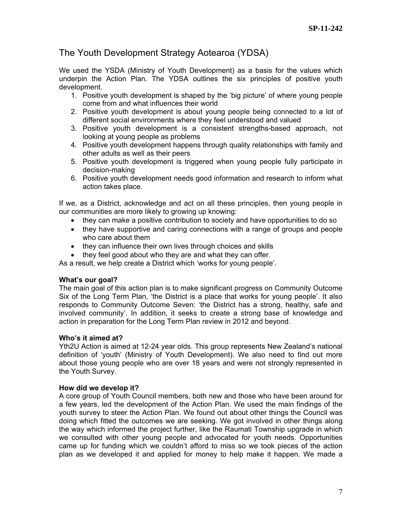# The Youth Development Strategy Aotearoa (YDSA)

We used the YSDA (Ministry of Youth Development) as a basis for the values which underpin the Action Plan. The YDSA outlines the six principles of positive youth development.

- 1. Positive youth development is shaped by the 'big picture' of where young people come from and what influences their world
- 2. Positive youth development is about young people being connected to a lot of different social environments where they feel understood and valued
- 3. Positive youth development is a consistent strengths-based approach, not looking at young people as problems
- 4. Positive youth development happens through quality relationships with family and other adults as well as their peers
- 5. Positive youth development is triggered when young people fully participate in decision-making
- 6. Positive youth development needs good information and research to inform what action takes place.

If we, as a District, acknowledge and act on all these principles, then young people in our communities are more likely to growing up knowing:

- they can make a positive contribution to society and have opportunities to do so
- they have supportive and caring connections with a range of groups and people who care about them
- they can influence their own lives through choices and skills
- they feel good about who they are and what they can offer.

As a result, we help create a District which 'works for young people'.

#### **What's our goal?**

The main goal of this action plan is to make significant progress on Community Outcome Six of the Long Term Plan, 'the District is a place that works for young people'. It also responds to Community Outcome Seven: 'the District has a strong, healthy, safe and involved community'. In addition, it seeks to create a strong base of knowledge and action in preparation for the Long Term Plan review in 2012 and beyond.

#### **Who's it aimed at?**

Yth2U Action is aimed at 12-24 year olds. This group represents New Zealand's national definition of 'youth' (Ministry of Youth Development). We also need to find out more about those young people who are over 18 years and were not strongly represented in the Youth Survey.

#### **How did we develop it?**

A core group of Youth Council members, both new and those who have been around for a few years, led the development of the Action Plan. We used the main findings of the youth survey to steer the Action Plan. We found out about other things the Council was doing which fitted the outcomes we are seeking. We got involved in other things along the way which informed the project further, like the Raumati Township upgrade in which we consulted with other young people and advocated for youth needs. Opportunities came up for funding which we couldn't afford to miss so we took pieces of the action plan as we developed it and applied for money to help make it happen. We made a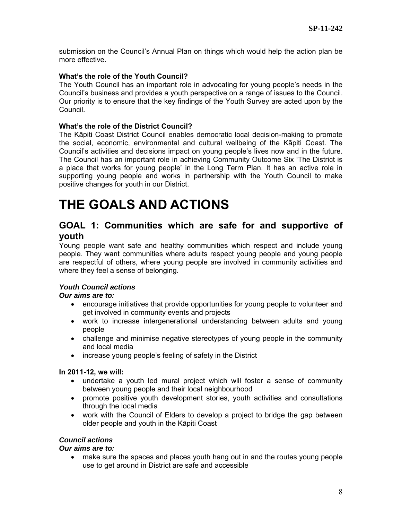submission on the Council's Annual Plan on things which would help the action plan be more effective.

#### **What's the role of the Youth Council?**

The Youth Council has an important role in advocating for young people's needs in the Council's business and provides a youth perspective on a range of issues to the Council. Our priority is to ensure that the key findings of the Youth Survey are acted upon by the Council.

#### **What's the role of the District Council?**

The Kāpiti Coast District Council enables democratic local decision-making to promote the social, economic, environmental and cultural wellbeing of the Kāpiti Coast. The Council's activities and decisions impact on young people's lives now and in the future. The Council has an important role in achieving Community Outcome Six 'The District is a place that works for young people' in the Long Term Plan. It has an active role in supporting young people and works in partnership with the Youth Council to make positive changes for youth in our District.

# **THE GOALS AND ACTIONS**

# **GOAL 1: Communities which are safe for and supportive of youth**

Young people want safe and healthy communities which respect and include young people. They want communities where adults respect young people and young people are respectful of others, where young people are involved in community activities and where they feel a sense of belonging.

## *Youth Council actions*

#### *Our aims are to:*

- encourage initiatives that provide opportunities for young people to volunteer and get involved in community events and projects
- work to increase intergenerational understanding between adults and young people
- challenge and minimise negative stereotypes of young people in the community and local media
- increase young people's feeling of safety in the District

#### **In 2011-12, we will:**

- undertake a youth led mural project which will foster a sense of community between young people and their local neighbourhood
- promote positive youth development stories, youth activities and consultations through the local media
- work with the Council of Elders to develop a project to bridge the gap between older people and youth in the Kāpiti Coast

## *Council actions*

## *Our aims are to:*

• make sure the spaces and places youth hang out in and the routes young people use to get around in District are safe and accessible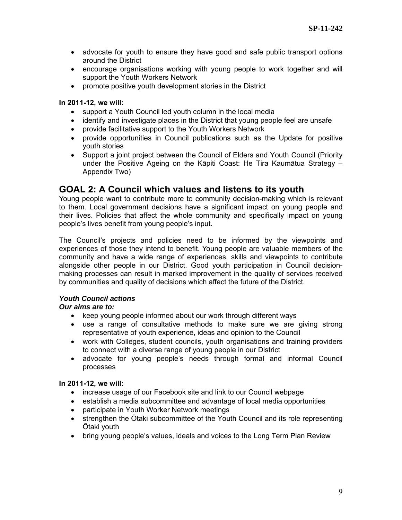- advocate for youth to ensure they have good and safe public transport options around the District
- encourage organisations working with young people to work together and will support the Youth Workers Network
- promote positive youth development stories in the District

#### **In 2011-12, we will:**

- support a Youth Council led youth column in the local media
- identify and investigate places in the District that young people feel are unsafe
- provide facilitative support to the Youth Workers Network
- provide opportunities in Council publications such as the Update for positive youth stories
- Support a joint project between the Council of Elders and Youth Council (Priority under the Positive Ageing on the Kāpiti Coast: He Tira Kaumātua Strategy – Appendix Two)

# **GOAL 2: A Council which values and listens to its youth**

Young people want to contribute more to community decision-making which is relevant to them. Local government decisions have a significant impact on young people and their lives. Policies that affect the whole community and specifically impact on young people's lives benefit from young people's input.

The Council's projects and policies need to be informed by the viewpoints and experiences of those they intend to benefit. Young people are valuable members of the community and have a wide range of experiences, skills and viewpoints to contribute alongside other people in our District. Good youth participation in Council decisionmaking processes can result in marked improvement in the quality of services received by communities and quality of decisions which affect the future of the District.

## *Youth Council actions*

## *Our aims are to:*

- keep young people informed about our work through different ways
- use a range of consultative methods to make sure we are giving strong representative of youth experience, ideas and opinion to the Council
- work with Colleges, student councils, youth organisations and training providers to connect with a diverse range of young people in our District
- advocate for young people's needs through formal and informal Council processes

#### **In 2011-12, we will:**

- increase usage of our Facebook site and link to our Council webpage
- establish a media subcommittee and advantage of local media opportunities
- participate in Youth Worker Network meetings
- strengthen the Ōtaki subcommittee of the Youth Council and its role representing Ōtaki youth
- bring young people's values, ideals and voices to the Long Term Plan Review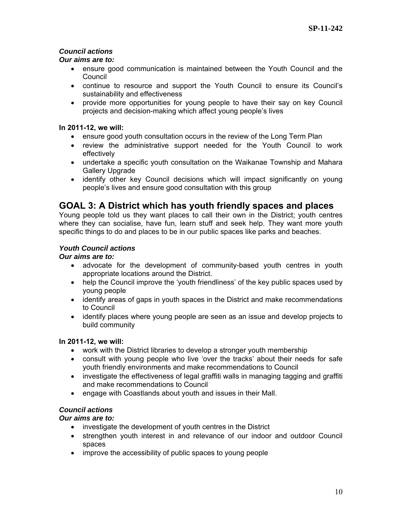# *Council actions*

## *Our aims are to:*

- ensure good communication is maintained between the Youth Council and the Council
- continue to resource and support the Youth Council to ensure its Council's sustainability and effectiveness
- provide more opportunities for young people to have their say on key Council projects and decision-making which affect young people's lives

## **In 2011-12, we will:**

- ensure good youth consultation occurs in the review of the Long Term Plan
- review the administrative support needed for the Youth Council to work effectively
- undertake a specific youth consultation on the Waikanae Township and Mahara Gallery Upgrade
- identify other key Council decisions which will impact significantly on young people's lives and ensure good consultation with this group

# **GOAL 3: A District which has youth friendly spaces and places**

Young people told us they want places to call their own in the District; youth centres where they can socialise, have fun, learn stuff and seek help. They want more youth specific things to do and places to be in our public spaces like parks and beaches.

## *Youth Council actions*

## *Our aims are to:*

- advocate for the development of community-based youth centres in youth appropriate locations around the District.
- help the Council improve the 'youth friendliness' of the key public spaces used by young people
- identify areas of gaps in youth spaces in the District and make recommendations to Council
- identify places where young people are seen as an issue and develop projects to build community

## **In 2011-12, we will:**

- work with the District libraries to develop a stronger youth membership
- consult with young people who live 'over the tracks' about their needs for safe youth friendly environments and make recommendations to Council
- investigate the effectiveness of legal graffiti walls in managing tagging and graffiti and make recommendations to Council
- engage with Coastlands about youth and issues in their Mall.

## *Council actions*

## *Our aims are to:*

- investigate the development of youth centres in the District
- strengthen youth interest in and relevance of our indoor and outdoor Council spaces
- improve the accessibility of public spaces to young people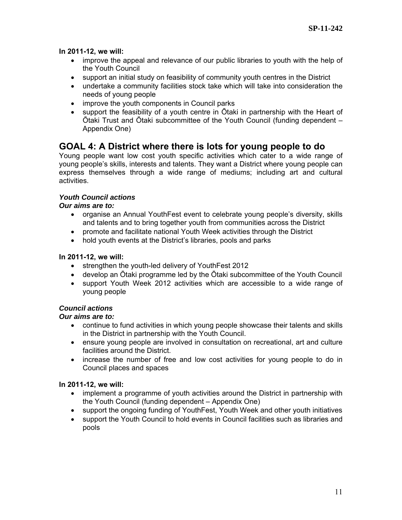**In 2011-12, we will:** 

- improve the appeal and relevance of our public libraries to youth with the help of the Youth Council
- support an initial study on feasibility of community youth centres in the District
- undertake a community facilities stock take which will take into consideration the needs of young people
- improve the youth components in Council parks
- support the feasibility of a youth centre in Ōtaki in partnership with the Heart of Ōtaki Trust and Ōtaki subcommittee of the Youth Council (funding dependent – Appendix One)

# **GOAL 4: A District where there is lots for young people to do**

Young people want low cost youth specific activities which cater to a wide range of young people's skills, interests and talents. They want a District where young people can express themselves through a wide range of mediums; including art and cultural activities.

## *Youth Council actions*

## *Our aims are to:*

- organise an Annual YouthFest event to celebrate young people's diversity, skills and talents and to bring together youth from communities across the District
- promote and facilitate national Youth Week activities through the District
- hold youth events at the District's libraries, pools and parks

## **In 2011-12, we will:**

- strengthen the youth-led delivery of YouthFest 2012
- develop an Ōtaki programme led by the Ōtaki subcommittee of the Youth Council
- support Youth Week 2012 activities which are accessible to a wide range of young people

## *Council actions*

## *Our aims are to:*

- continue to fund activities in which young people showcase their talents and skills in the District in partnership with the Youth Council.
- ensure young people are involved in consultation on recreational, art and culture facilities around the District.
- increase the number of free and low cost activities for young people to do in Council places and spaces

## **In 2011-12, we will:**

- implement a programme of youth activities around the District in partnership with the Youth Council (funding dependent – Appendix One)
- support the ongoing funding of YouthFest, Youth Week and other youth initiatives
- support the Youth Council to hold events in Council facilities such as libraries and pools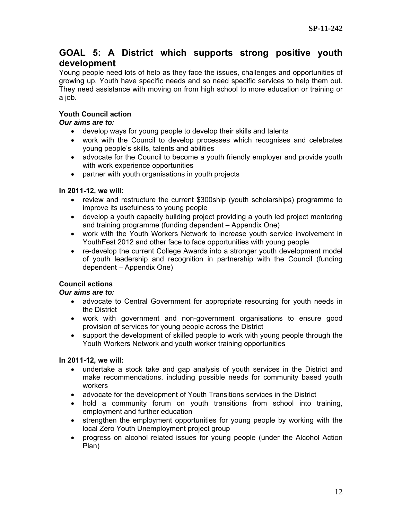# **GOAL 5: A District which supports strong positive youth development**

Young people need lots of help as they face the issues, challenges and opportunities of growing up. Youth have specific needs and so need specific services to help them out. They need assistance with moving on from high school to more education or training or a job.

## **Youth Council action**

## *Our aims are to:*

- develop ways for young people to develop their skills and talents
- work with the Council to develop processes which recognises and celebrates young people's skills, talents and abilities
- advocate for the Council to become a youth friendly employer and provide youth with work experience opportunities
- partner with youth organisations in youth projects

## **In 2011-12, we will:**

- review and restructure the current \$300ship (youth scholarships) programme to improve its usefulness to young people
- develop a youth capacity building project providing a youth led project mentoring and training programme (funding dependent – Appendix One)
- work with the Youth Workers Network to increase youth service involvement in YouthFest 2012 and other face to face opportunities with young people
- re-develop the current College Awards into a stronger youth development model of youth leadership and recognition in partnership with the Council (funding dependent – Appendix One)

## **Council actions**

## *Our aims are to:*

- advocate to Central Government for appropriate resourcing for youth needs in the District
- work with government and non-government organisations to ensure good provision of services for young people across the District
- support the development of skilled people to work with young people through the Youth Workers Network and youth worker training opportunities

## **In 2011-12, we will:**

- undertake a stock take and gap analysis of youth services in the District and make recommendations, including possible needs for community based youth workers
- advocate for the development of Youth Transitions services in the District
- hold a community forum on youth transitions from school into training, employment and further education
- strengthen the employment opportunities for young people by working with the local Zero Youth Unemployment project group
- progress on alcohol related issues for young people (under the Alcohol Action Plan)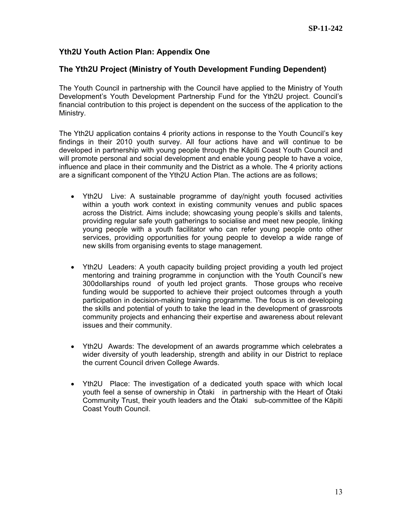## **Yth2U Youth Action Plan: Appendix One**

## **The Yth2U Project (Ministry of Youth Development Funding Dependent)**

The Youth Council in partnership with the Council have applied to the Ministry of Youth Development's Youth Development Partnership Fund for the Yth2U project. Council's financial contribution to this project is dependent on the success of the application to the Ministry.

The Yth2U application contains 4 priority actions in response to the Youth Council's key findings in their 2010 youth survey. All four actions have and will continue to be developed in partnership with young people through the Kāpiti Coast Youth Council and will promote personal and social development and enable young people to have a voice, influence and place in their community and the District as a whole. The 4 priority actions are a significant component of the Yth2U Action Plan. The actions are as follows;

- Yth2U Live: A sustainable programme of day/night youth focused activities within a youth work context in existing community venues and public spaces across the District. Aims include; showcasing young people's skills and talents, providing regular safe youth gatherings to socialise and meet new people, linking young people with a youth facilitator who can refer young people onto other services, providing opportunities for young people to develop a wide range of new skills from organising events to stage management.
- Yth2U Leaders: A youth capacity building project providing a youth led project mentoring and training programme in conjunction with the Youth Council's new 300dollarships round of youth led project grants. Those groups who receive funding would be supported to achieve their project outcomes through a youth participation in decision-making training programme. The focus is on developing the skills and potential of youth to take the lead in the development of grassroots community projects and enhancing their expertise and awareness about relevant issues and their community.
- Yth2U Awards: The development of an awards programme which celebrates a wider diversity of youth leadership, strength and ability in our District to replace the current Council driven College Awards.
- Yth2U Place: The investigation of a dedicated youth space with which local youth feel a sense of ownership in Ōtaki in partnership with the Heart of Ōtaki Community Trust, their youth leaders and the Ōtaki sub-committee of the Kāpiti Coast Youth Council.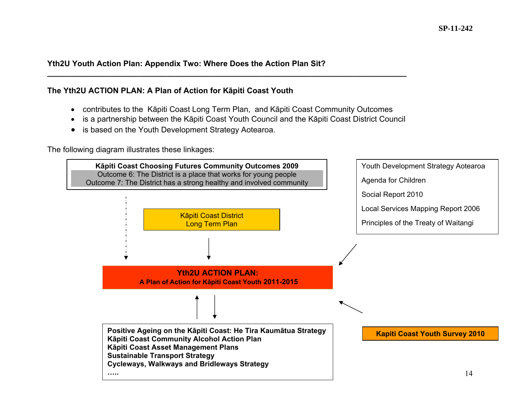## **Yth2U Youth Action Plan: Appendix Two: Where Does the Action Plan Sit?**

## **The Yth2U ACTION PLAN: A Plan of Action for Kāpiti Coast Youth**

• contributes to the Kāpiti Coast Long Term Plan, and Kāpiti Coast Community Outcomes

**\_\_\_\_\_\_\_\_\_\_\_\_\_\_\_\_\_\_\_\_\_\_\_\_\_\_\_\_\_\_\_\_\_\_\_\_\_\_\_\_\_\_\_\_\_\_\_\_\_\_\_\_\_\_\_\_\_\_\_\_\_\_\_\_\_\_\_\_\_\_\_\_\_\_\_\_\_\_\_\_\_\_** 

- is a partnership between the Kāpiti Coast Youth Council and the Kāpiti Coast District Council
- is based on the Youth Development Strategy Aotearoa.

The following diagram illustrates these linkages:

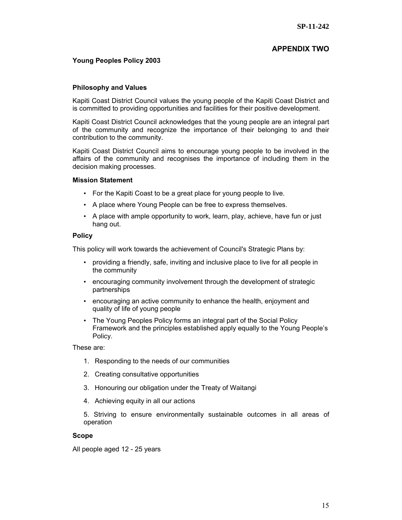#### **APPENDIX TWO**

#### **Young Peoples Policy 2003**

#### **Philosophy and Values**

Kapiti Coast District Council values the young people of the Kapiti Coast District and is committed to providing opportunities and facilities for their positive development.

Kapiti Coast District Council acknowledges that the young people are an integral part of the community and recognize the importance of their belonging to and their contribution to the community.

Kapiti Coast District Council aims to encourage young people to be involved in the affairs of the community and recognises the importance of including them in the decision making processes.

#### **Mission Statement**

- For the Kapiti Coast to be a great place for young people to live.
- A place where Young People can be free to express themselves.
- A place with ample opportunity to work, learn, play, achieve, have fun or just hang out.

#### **Policy**

This policy will work towards the achievement of Council's Strategic Plans by:

- providing a friendly, safe, inviting and inclusive place to live for all people in the community
- encouraging community involvement through the development of strategic partnerships
- encouraging an active community to enhance the health, enjoyment and quality of life of young people
- The Young Peoples Policy forms an integral part of the Social Policy Framework and the principles established apply equally to the Young People's Policy.

These are:

- 1. Responding to the needs of our communities
- 2. Creating consultative opportunities
- 3. Honouring our obligation under the Treaty of Waitangi
- 4. Achieving equity in all our actions

5. Striving to ensure environmentally sustainable outcomes in all areas of operation

#### **Scope**

All people aged 12 - 25 years